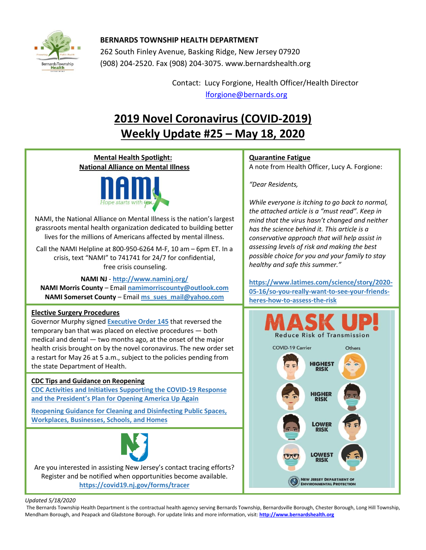

### **BERNARDS TOWNSHIP HEALTH DEPARTMENT**

262 South Finley Avenue, Basking Ridge, New Jersey 07920 (908) 204-2520. Fax (908) 204-3075[. www.bernardshealth.org](http://www.bernardshealth.org/)

> Contact: Lucy Forgione, Health Officer/Health Director [lforgione@bernards.org](mailto:lforgione@bernards.org)

# **2019 Novel Coronavirus (COVID-2019) Weekly Update #25 – May 18, 2020**

#### **Mental Health Spotlight: Quarantine Fatigue National Alliance on Mental Illness** A note from Health Officer, Lucy A. Forgione: *"Dear Residents, While everyone is itching to go back to normal, the attached article is a "must read". Keep in*  NAMI, the National Alliance on Mental Illness is the nation's largest *mind that the virus hasn't changed and neither*  grassroots mental health organization dedicated to building better *has the science behind it. This article is a*  lives for the millions of Americans affected by mental illness. *conservative approach that will help assist in assessing levels of risk and making the best*  Call the NAMI Helpline at 800-950-6264 M-F, 10 am – 6pm ET. In a *possible choice for you and your family to stay* crisis, text "NAMI" to 741741 for 24/7 for confidential, *healthy and safe this summer."* free crisis counseling. **NAMI NJ** - **<http://www.naminj.org/> [https://www.latimes.com/science/story/2020-](https://www.latimes.com/science/story/2020-05-16/so-you-really-want-to-see-your-friends-heres-how-to-assess-the-risk) NAMI Morris County** – Email **[namimorriscounty@outlook.com](mailto:namimorriscounty@outlook.com) [05-16/so-you-really-want-to-see-your-friends-](https://www.latimes.com/science/story/2020-05-16/so-you-really-want-to-see-your-friends-heres-how-to-assess-the-risk)NAMI Somerset County** – Email **[ms\\_sues\\_mail@yahoo.com](mailto:ms_sues_mail@yahoo.com) [heres-how-to-assess-the-risk](https://www.latimes.com/science/story/2020-05-16/so-you-really-want-to-see-your-friends-heres-how-to-assess-the-risk) Elective Surgery Procedures** Governor Murphy signed **[Executive Order 145](https://nj.gov/infobank/eo/056murphy/pdf/EO-145.pdf)** that reversed the temporary ban that was placed on elective procedures — both **Reduce Risk of Transmission** medical and dental — two months ago, at the onset of the major **COVID-19 Carrier** Others health crisis brought on by the novel coronavirus. The new order set a restart for May 26 at 5 a.m., subject to the policies pending from **HIGHEST** the state Department of Health. **RISK CDC Tips and Guidance on Reopening [CDC Activities and Initiatives Supporting the COVID-19 Response](https://www.cdc.gov/coronavirus/2019-ncov/downloads/php/CDC-Activities-Initiatives-for-COVID-19-Response.pdf)  HIGHER and the President['s Plan for Opening America Up Again](https://www.cdc.gov/coronavirus/2019-ncov/downloads/php/CDC-Activities-Initiatives-for-COVID-19-Response.pdf) RISK Reopening Guidance for [Cleaning and Disinfecting Public Spaces,](https://www.cdc.gov/coronavirus/2019-ncov/community/reopen-guidance.html)  [Workplaces, Businesses, Schools, and Homes](https://www.cdc.gov/coronavirus/2019-ncov/community/reopen-guidance.html) LOWER RISK** LOWEST **RISK** Are you interested in assisting New Jersey's contact tracing efforts? Register and be notified when opportunities become available. **NEW JERSEY DEPARTMENT OF<br>ENVIRONMENTAL PROTECTION <https://covid19.nj.gov/forms/tracer>**

*Updated 5/18/2020* 

The Bernards Township Health Department is the contractual health agency serving Bernards Township, Bernardsville Borough, Chester Borough, Long Hill Township, Mendham Borough, and Peapack and Gladstone Borough. For update links and more information, visit: **[http://www.bernardshealth.org](http://www.bernardshealth.org/)**